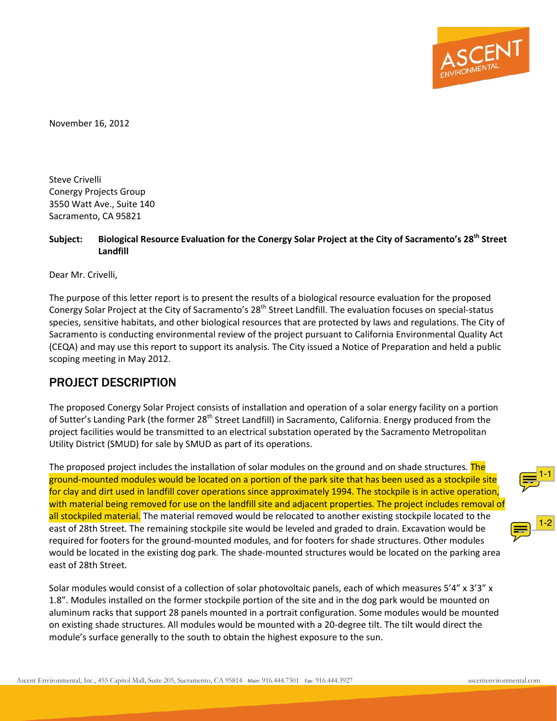<span id="page-0-0"></span>

November 16, 2012

Steve Crivelli Conergy Projects Group 3550 Watt Ave., Suite 140 Sacramento, CA 95821

#### **Subject: Biological Resource Evaluation for the Conergy Solar Project at the City of Sacramento's 28th Street Landfill**

Dear Mr. Crivelli,

The purpose of this letter report is to present the results of a biological resource evaluation for the proposed Conergy Solar Project at the City of Sacramento's 28<sup>th</sup> Street Landfill. The evaluation focuses on special-status species, sensitive habitats, and other biological resources that are protected by laws and regulations. The City of Sacramento is conducting environmental review of the project pursuant to California Environmental Quality Act (CEQA) and may use this report to support its analysis. The City issued a Notice of Preparation and held a public scoping meeting in May 2012.

#### PROJECT DESCRIPTION

The proposed Conergy Solar Project consists of installation and operation of a solar energy facility on a portion of Sutter's Landing Park (the former 28<sup>th</sup> Street Landfill) in Sacramento, California. Energy produced from the project facilities would be transmitted to an electrical substation operated by the Sacramento Metropolitan Utility District (SMUD) for sale by SMUD as part of its operations.

<span id="page-0-1"></span>The proposed project includes the installation of solar modules on the ground and on shade structures. The ground-mounted modules would be located on a portion of the park site that has been used as a stockpile site for clay and dirt used in landfill cover operations since approximately 1994. The stockpile is in active operation, with material being removed for use on the landfill site and adjacent properties. The project includes removal of all stockpiled material. The material removed would be relocated to another existing stockpile located to the east of 28th Street. The remaining stockpile site would be leveled and graded to drain. Excavation would be required for footers for the ground-mounted modules, and for footers for shade structures. Other modules would be located in the existing dog park. The shade-mounted structures would be located on the parking area east of 28th Street.

Solar modules would consist of a collection of solar photovoltaic panels, each of which measures 5'4" x 3'3" x 1.8". Modules installed on the former stockpile portion of the site and in the dog park would be mounted on aluminum racks that support 28 panels mounted in a portrait configuration. Some modules would be mounted on existing shade structures. All modules would be mounted with a 20-degree tilt. The tilt would direct the module's surface generally to the south to obtain the highest exposure to the sun.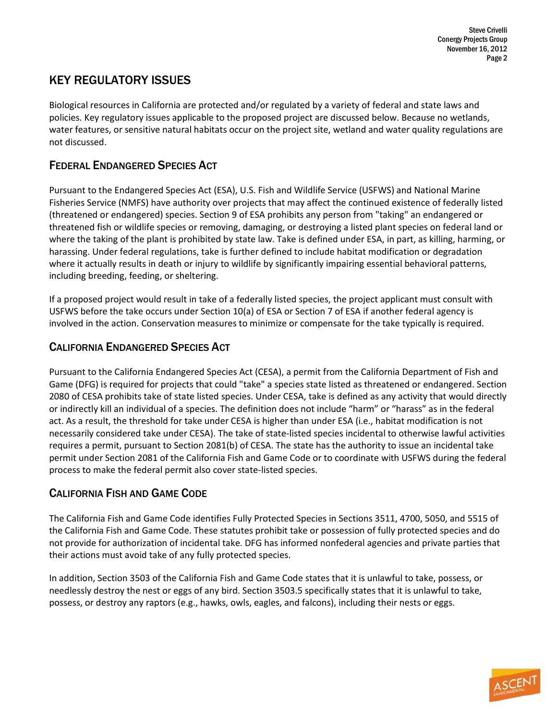## KEY REGULATORY ISSUES

Biological resources in California are protected and/or regulated by a variety of federal and state laws and policies. Key regulatory issues applicable to the proposed project are discussed below. Because no wetlands, water features, or sensitive natural habitats occur on the project site, wetland and water quality regulations are not discussed.

### FEDERAL ENDANGERED SPECIES ACT

Pursuant to the Endangered Species Act (ESA), U.S. Fish and Wildlife Service (USFWS) and National Marine Fisheries Service (NMFS) have authority over projects that may affect the continued existence of federally listed (threatened or endangered) species. Section 9 of ESA prohibits any person from "taking" an endangered or threatened fish or wildlife species or removing, damaging, or destroying a listed plant species on federal land or where the taking of the plant is prohibited by state law. Take is defined under ESA, in part, as killing, harming, or harassing. Under federal regulations, take is further defined to include habitat modification or degradation where it actually results in death or injury to wildlife by significantly impairing essential behavioral patterns, including breeding, feeding, or sheltering.

If a proposed project would result in take of a federally listed species, the project applicant must consult with USFWS before the take occurs under Section 10(a) of ESA or Section 7 of ESA if another federal agency is involved in the action. Conservation measures to minimize or compensate for the take typically is required.

### CALIFORNIA ENDANGERED SPECIES ACT

Pursuant to the California Endangered Species Act (CESA), a permit from the California Department of Fish and Game (DFG) is required for projects that could "take" a species state listed as threatened or endangered. Section 2080 of CESA prohibits take of state listed species. Under CESA, take is defined as any activity that would directly or indirectly kill an individual of a species. The definition does not include "harm" or "harass" as in the federal act. As a result, the threshold for take under CESA is higher than under ESA (i.e., habitat modification is not necessarily considered take under CESA). The take of state-listed species incidental to otherwise lawful activities requires a permit, pursuant to Section 2081(b) of CESA. The state has the authority to issue an incidental take permit under Section 2081 of the California Fish and Game Code or to coordinate with USFWS during the federal process to make the federal permit also cover state-listed species.

## CALIFORNIA FISH AND GAME CODE

The California Fish and Game Code identifies Fully Protected Species in Sections 3511, 4700, 5050, and 5515 of the California Fish and Game Code. These statutes prohibit take or possession of fully protected species and do not provide for authorization of incidental take. DFG has informed nonfederal agencies and private parties that their actions must avoid take of any fully protected species.

In addition, Section 3503 of the California Fish and Game Code states that it is unlawful to take, possess, or needlessly destroy the nest or eggs of any bird. Section 3503.5 specifically states that it is unlawful to take, possess, or destroy any raptors (e.g., hawks, owls, eagles, and falcons), including their nests or eggs.

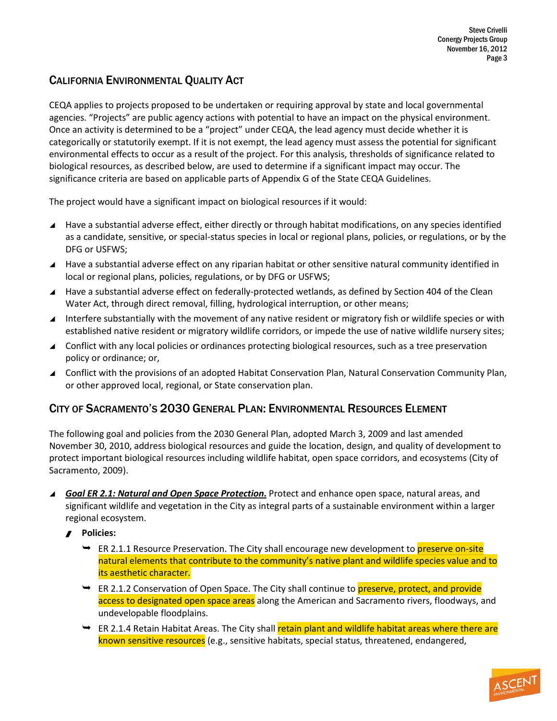### CALIFORNIA ENVIRONMENTAL QUALITY ACT

CEQA applies to projects proposed to be undertaken or requiring approval by state and local governmental agencies. "Projects" are public agency actions with potential to have an impact on the physical environment. Once an activity is determined to be a "project" under CEQA, the lead agency must decide whether it is categorically or statutorily exempt. If it is not exempt, the lead agency must assess the potential for significant environmental effects to occur as a result of the project. For this analysis, thresholds of significance related to biological resources, as described below, are used to determine if a significant impact may occur. The significance criteria are based on applicable parts of Appendix G of the State CEQA Guidelines.

The project would have a significant impact on biological resources if it would:

- $\blacktriangle$  Have a substantial adverse effect, either directly or through habitat modifications, on any species identified as a candidate, sensitive, or special-status species in local or regional plans, policies, or regulations, or by the DFG or USFWS;
- ▲ Have a substantial adverse effect on any riparian habitat or other sensitive natural community identified in local or regional plans, policies, regulations, or by DFG or USFWS;
- Have a substantial adverse effect on federally-protected wetlands, as defined by Section 404 of the Clean Water Act, through direct removal, filling, hydrological interruption, or other means;
- Interfere substantially with the movement of any native resident or migratory fish or wildlife species or with established native resident or migratory wildlife corridors, or impede the use of native wildlife nursery sites;
- ▲ Conflict with any local policies or ordinances protecting biological resources, such as a tree preservation policy or ordinance; or,
- ▲ Conflict with the provisions of an adopted Habitat Conservation Plan, Natural Conservation Community Plan, or other approved local, regional, or State conservation plan.

### CITY OF SACRAMENTO'S 2030 GENERAL PLAN: ENVIRONMENTAL RESOURCES ELEMENT

The following goal and policies from the 2030 General Plan, adopted March 3, 2009 and last amended November 30, 2010, address biological resources and guide the location, design, and quality of development to protect important biological resources including wildlife habitat, open space corridors, and ecosystems (City of Sacramento, 2009).

- ▲ Goal ER 2.1: Natural and Open Space Protection. Protect and enhance open space, natural areas, and significant wildlife and vegetation in the City as integral parts of a sustainable environment within a larger regional ecosystem.
	- **Policies:**
		- $\rightarrow$  ER 2.1.1 Resource Preservation. The City shall encourage new development to preserve on-site natural elements that contribute to the community's native plant and wildlife species value and to its aesthetic character.
		- **→** ER 2.1.2 Conservation of Open Space. The City shall continue to **preserve, protect, and provide** access to designated open space areas along the American and Sacramento rivers, floodways, and undevelopable floodplains.
		- $\rightarrow$  ER 2.1.4 Retain Habitat Areas. The City shall retain plant and wildlife habitat areas where there are known sensitive resources (e.g., sensitive habitats, special status, threatened, endangered,

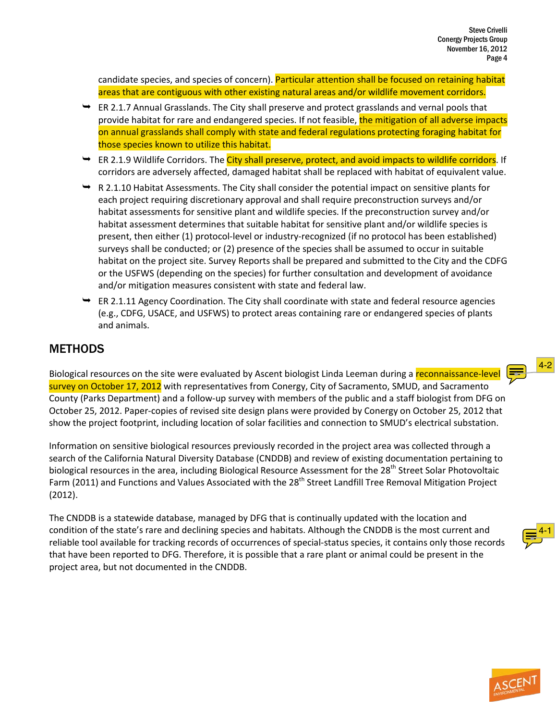candidate species, and species of concern). Particular attention shall be focused on retaining habitat areas that are contiguous with other existing natural areas and/or wildlife movement corridors.

- $\rightarrow$  ER 2.1.7 Annual Grasslands. The City shall preserve and protect grasslands and vernal pools that provide habitat for rare and endangered species. If not feasible, the mitigation of all adverse impacts on annual grasslands shall comply with state and federal regulations protecting foraging habitat for those species known to utilize this habitat.
- **→** ER 2.1.9 Wildlife Corridors. The City shall preserve, protect, and avoid impacts to wildlife corridors. If corridors are adversely affected, damaged habitat shall be replaced with habitat of equivalent value.
- $\rightarrow$  R 2.1.10 Habitat Assessments. The City shall consider the potential impact on sensitive plants for each project requiring discretionary approval and shall require preconstruction surveys and/or habitat assessments for sensitive plant and wildlife species. If the preconstruction survey and/or habitat assessment determines that suitable habitat for sensitive plant and/or wildlife species is present, then either (1) protocol-level or industry-recognized (if no protocol has been established) surveys shall be conducted; or (2) presence of the species shall be assumed to occur in suitable habitat on the project site. Survey Reports shall be prepared and submitted to the City and the CDFG or the USFWS (depending on the species) for further consultation and development of avoidance and/or mitigation measures consistent with state and federal law.
- $\rightarrow$  ER 2.1.11 Agency Coordination. The City shall coordinate with state and federal resource agencies (e.g., CDFG, USACE, and USFWS) to protect areas containing rare or endangered species of plants and animals.

## **METHODS**

Biological resources on the site were evaluated by Ascent biologist Linda Leeman during a reconnaissance-level survey on October 17, 2012 with representatives from Conergy, City of Sacramento, SMUD, and Sacramento County (Parks Department) and a follow-up survey with members of the public and a staff biologist from DFG on October 25, 2012. Paper-copies of revised site design plans were provided by Conergy on October 25, 2012 that show the project footprint, including location of solar facilities and connection to SMUD's electrical substation.

Information on sensitive biological resources previously recorded in the project area was collected through a search of the California Natural Diversity Database (CNDDB) and review of existing documentation pertaining to biological resources in the area, including Biological Resource Assessment for the 28<sup>th</sup> Street Solar Photovoltaic Farm (2011) and Functions and Values Associated with the 28<sup>th</sup> Street Landfill Tree Removal Mitigation Project (2012).

The CNDDB is a statewide database, managed by DFG that is continually updated with the location and condition of the state's rare and declining species and habitats. Although the CNDDB is the most current and reliable tool available for tracking records of occurrences of special-status species, it contains only those records that have been reported to DFG. Therefore, it is possible that a rare plant or animal could be present in the project area, but not documented in the CNDDB.

<span id="page-3-0"></span>

<span id="page-3-1"></span>[4-2](#page-14-3)

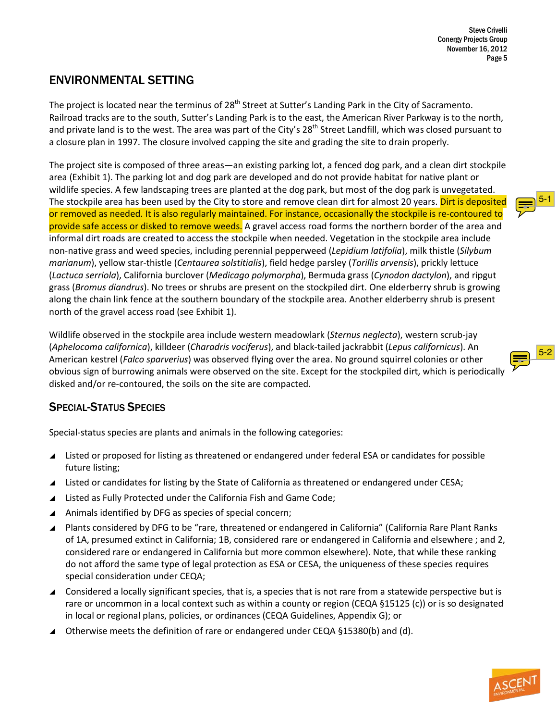## ENVIRONMENTAL SETTING

The project is located near the terminus of 28<sup>th</sup> Street at Sutter's Landing Park in the City of Sacramento. Railroad tracks are to the south, Sutter's Landing Park is to the east, the American River Parkway is to the north, and private land is to the west. The area was part of the City's 28<sup>th</sup> Street Landfill, which was closed pursuant to a closure plan in 1997. The closure involved capping the site and grading the site to drain properly.

The project site is composed of three areas—an existing parking lot, a fenced dog park, and a clean dirt stockpile area (Exhibit 1). The parking lot and dog park are developed and do not provide habitat for native plant or wildlife species. A few landscaping trees are planted at the dog park, but most of the dog park is unvegetated. The stockpile area has been used by the City to store and remove clean dirt for almost 20 years. Dirt is deposited or removed as needed. It is also regularly maintained. For instance, occasionally the stockpile is re-contoured to provide safe access or disked to remove weeds. A gravel access road forms the northern border of the area and informal dirt roads are created to access the stockpile when needed. Vegetation in the stockpile area include non-native grass and weed species, including perennial pepperweed (*Lepidium latifolia*), milk thistle (*Silybum marianum*), yellow star-thistle (*Centaurea solstitialis*), field hedge parsley (*Torillis arvensis*), prickly lettuce (*Lactuca serriola*), California burclover (*Medicago polymorpha*), Bermuda grass (*Cynodon dactylon*), and ripgut grass (*Bromus diandrus*). No trees or shrubs are present on the stockpiled dirt. One elderberry shrub is growing along the chain link fence at the southern boundary of the stockpile area. Another elderberry shrub is present north of the gravel access road (see Exhibit 1).

Wildlife observed in the stockpile area include western meadowlark (*Sternus neglecta*), western scrub-jay (*Aphelocoma californica*), killdeer (*Charadris vociferus*), and black-tailed jackrabbit (*Lepus californicus*). An American kestrel (*Falco sparverius*) was observed flying over the area. No ground squirrel colonies or other obvious sign of burrowing animals were observed on the site. Except for the stockpiled dirt, which is periodically disked and/or re-contoured, the soils on the site are compacted.

## SPECIAL-STATUS SPECIES

Special-status species are plants and animals in the following categories:

- ▲ Listed or proposed for listing as threatened or endangered under federal ESA or candidates for possible future listing;
- $\blacktriangle$  Listed or candidates for listing by the State of California as threatened or endangered under CESA;
- $\blacktriangle$  Listed as Fully Protected under the California Fish and Game Code;
- $\blacktriangle$  Animals identified by DFG as species of special concern;
- \ Plants considered by DFG to be "rare, threatened or endangered in California" (California Rare Plant Ranks of 1A, presumed extinct in California; 1B, considered rare or endangered in California and elsewhere ; and 2, considered rare or endangered in California but more common elsewhere). Note, that while these ranking do not afford the same type of legal protection as ESA or CESA, the uniqueness of these species requires special consideration under CEQA;
- ▲ Considered a locally significant species, that is, a species that is not rare from a statewide perspective but is rare or uncommon in a local context such as within a county or region (CEQA §15125 (c)) or is so designated in local or regional plans, policies, or ordinances (CEQA Guidelines, Appendix G); or
- Otherwise meets the definition of rare or endangered under CEQA §15380(b) and (d).

<span id="page-4-0"></span>

<span id="page-4-1"></span>

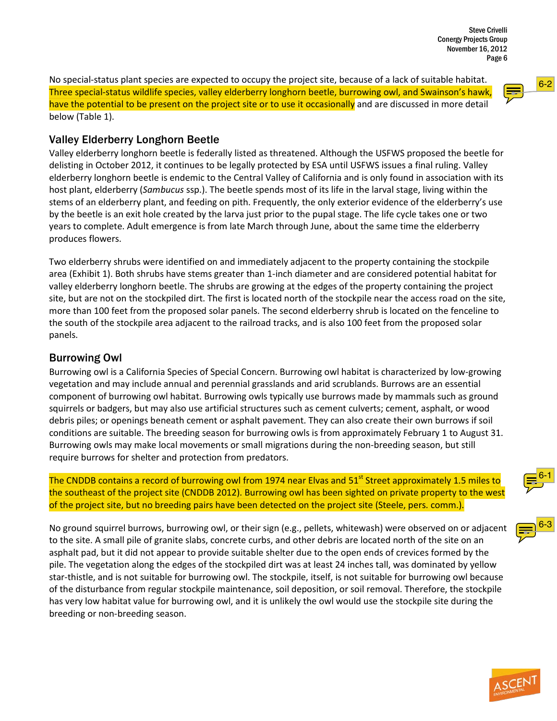No special-status plant species are expected to occupy the project site, because of a lack of suitable habitat. Three special-status wildlife species, valley elderberry longhorn beetle, burrowing owl, and Swainson's hawk, have the potential to be present on the project site or to use it occasionally and are discussed in more detail below (Table 1).

### Valley Elderberry Longhorn Beetle

Valley elderberry longhorn beetle is federally listed as threatened. Although the USFWS proposed the beetle for delisting in October 2012, it continues to be legally protected by ESA until USFWS issues a final ruling. Valley elderberry longhorn beetle is endemic to the Central Valley of California and is only found in association with its host plant, elderberry (*Sambucus* ssp.). The beetle spends most of its life in the larval stage, living within the stems of an elderberry plant, and feeding on pith. Frequently, the only exterior evidence of the elderberry's use by the beetle is an exit hole created by the larva just prior to the pupal stage. The life cycle takes one or two years to complete. Adult emergence is from late March through June, about the same time the elderberry produces flowers.

Two elderberry shrubs were identified on and immediately adjacent to the property containing the stockpile area (Exhibit 1). Both shrubs have stems greater than 1-inch diameter and are considered potential habitat for valley elderberry longhorn beetle. The shrubs are growing at the edges of the property containing the project site, but are not on the stockpiled dirt. The first is located north of the stockpile near the access road on the site, more than 100 feet from the proposed solar panels. The second elderberry shrub is located on the fenceline to the south of the stockpile area adjacent to the railroad tracks, and is also 100 feet from the proposed solar panels.

#### Burrowing Owl

Burrowing owl is a California Species of Special Concern. Burrowing owl habitat is characterized by low-growing vegetation and may include annual and perennial grasslands and arid scrublands. Burrows are an essential component of burrowing owl habitat. Burrowing owls typically use burrows made by mammals such as ground squirrels or badgers, but may also use artificial structures such as cement culverts; cement, asphalt, or wood debris piles; or openings beneath cement or asphalt pavement. They can also create their own burrows if soil conditions are suitable. The breeding season for burrowing owls is from approximately February 1 to August 31. Burrowing owls may make local movements or small migrations during the non-breeding season, but still require burrows for shelter and protection from predators.

The CNDDB contains a record of burrowing owl from 1974 near Elvas and 51<sup>st</sup> Street approximately 1.5 miles to the southeast of the project site (CNDDB 2012). Burrowing owl has been sighted on private property to the west of the project site, but no breeding pairs have been detected on the project site (Steele, pers. comm.).

No ground squirrel burrows, burrowing owl, or their sign (e.g., pellets, whitewash) were observed on or adjacent to the site. A small pile of granite slabs, concrete curbs, and other debris are located north of the site on an asphalt pad, but it did not appear to provide suitable shelter due to the open ends of crevices formed by the pile. The vegetation along the edges of the stockpiled dirt was at least 24 inches tall, was dominated by yellow star-thistle, and is not suitable for burrowing owl. The stockpile, itself, is not suitable for burrowing owl because of the disturbance from regular stockpile maintenance, soil deposition, or soil removal. Therefore, the stockpile has very low habitat value for burrowing owl, and it is unlikely the owl would use the stockpile site during the breeding or non-breeding season.

<span id="page-5-0"></span>

<span id="page-5-2"></span>



<span id="page-5-1"></span>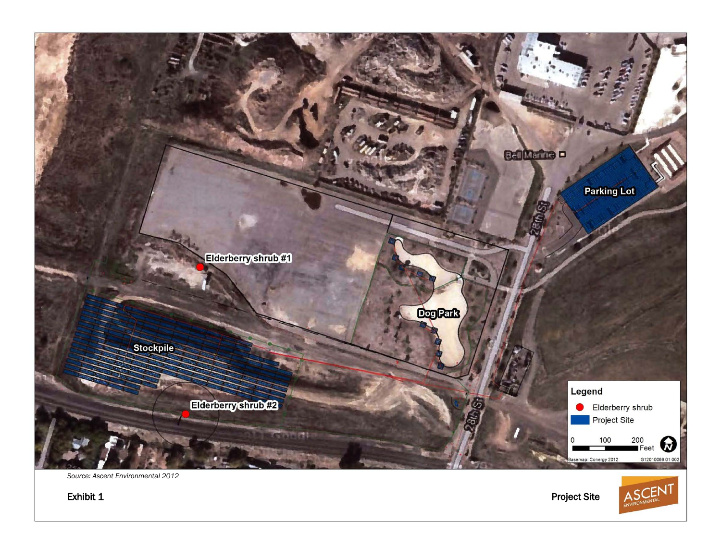

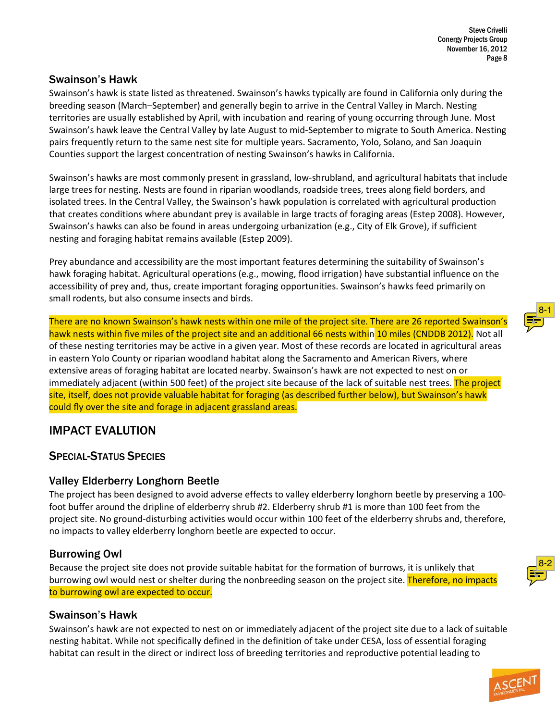#### Swainson's Hawk

Swainson's hawk is state listed as threatened. Swainson's hawks typically are found in California only during the breeding season (March–September) and generally begin to arrive in the Central Valley in March. Nesting territories are usually established by April, with incubation and rearing of young occurring through June. Most Swainson's hawk leave the Central Valley by late August to mid-September to migrate to South America. Nesting pairs frequently return to the same nest site for multiple years. Sacramento, Yolo, Solano, and San Joaquin Counties support the largest concentration of nesting Swainson's hawks in California.

Swainson's hawks are most commonly present in grassland, low-shrubland, and agricultural habitats that include large trees for nesting. Nests are found in riparian woodlands, roadside trees, trees along field borders, and isolated trees. In the Central Valley, the Swainson's hawk population is correlated with agricultural production that creates conditions where abundant prey is available in large tracts of foraging areas (Estep 2008). However, Swainson's hawks can also be found in areas undergoing urbanization (e.g., City of Elk Grove), if sufficient nesting and foraging habitat remains available (Estep 2009).

Prey abundance and accessibility are the most important features determining the suitability of Swainson's hawk foraging habitat. Agricultural operations (e.g., mowing, flood irrigation) have substantial influence on the accessibility of prey and, thus, create important foraging opportunities. Swainson's hawks feed primarily on small rodents, but also consume insects and birds.

There are no known Swainson's hawk nests within one mile of the project site. There are 26 reported Swainson's hawk nests within five miles of the project site and an additional 66 nests within 10 miles (CNDDB 2012). Not all of these nesting territories may be active in a given year. Most of these records are located in agricultural areas in eastern Yolo County or riparian woodland habitat along the Sacramento and American Rivers, where extensive areas of foraging habitat are located nearby. Swainson's hawk are not expected to nest on or immediately adjacent (within 500 feet) of the project site because of the lack of suitable nest trees. The project site, itself, does not provide valuable habitat for foraging (as described further below), but Swainson's hawk could fly over the site and forage in adjacent grassland areas.

### IMPACT EVALUTION

### SPECIAL-STATUS SPECIES

#### Valley Elderberry Longhorn Beetle

The project has been designed to avoid adverse effects to valley elderberry longhorn beetle by preserving a 100 foot buffer around the dripline of elderberry shrub #2. Elderberry shrub #1 is more than 100 feet from the project site. No ground-disturbing activities would occur within 100 feet of the elderberry shrubs and, therefore, no impacts to valley elderberry longhorn beetle are expected to occur.

### Burrowing Owl

Because the project site does not provide suitable habitat for the formation of burrows, it is unlikely that burrowing owl would nest or shelter during the nonbreeding season on the project site. Therefore, no impacts to burrowing owl are expected to occur.

#### Swainson's Hawk

Swainson's hawk are not expected to nest on or immediately adjacent of the project site due to a lack of suitable nesting habitat. While not specifically defined in the definition of take under CESA, loss of essential foraging habitat can result in the direct or indirect loss of breeding territories and reproductive potential leading to

<span id="page-7-0"></span>



<span id="page-7-1"></span>[8-2](#page-14-10)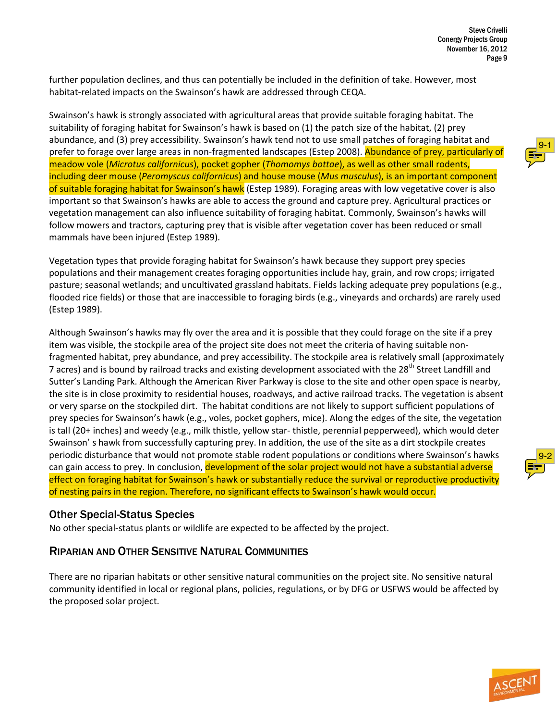further population declines, and thus can potentially be included in the definition of take. However, most habitat-related impacts on the Swainson's hawk are addressed through CEQA.

Swainson's hawk is strongly associated with agricultural areas that provide suitable foraging habitat. The suitability of foraging habitat for Swainson's hawk is based on (1) the patch size of the habitat, (2) prey abundance, and (3) prey accessibility. Swainson's hawk tend not to use small patches of foraging habitat and prefer to forage over large areas in non-fragmented landscapes (Estep 2008). Abundance of prey, particularly of meadow vole (*Microtus californicus*), pocket gopher (*Thomomys bottae*), as well as other small rodents, including deer mouse (*Peromyscus californicus*) and house mouse (*Mus musculus*), is an important component of suitable foraging habitat for Swainson's hawk (Estep 1989). Foraging areas with low vegetative cover is also important so that Swainson's hawks are able to access the ground and capture prey. Agricultural practices or vegetation management can also influence suitability of foraging habitat. Commonly, Swainson's hawks will follow mowers and tractors, capturing prey that is visible after vegetation cover has been reduced or small mammals have been injured (Estep 1989).

Vegetation types that provide foraging habitat for Swainson's hawk because they support prey species populations and their management creates foraging opportunities include hay, grain, and row crops; irrigated pasture; seasonal wetlands; and uncultivated grassland habitats. Fields lacking adequate prey populations (e.g., flooded rice fields) or those that are inaccessible to foraging birds (e.g., vineyards and orchards) are rarely used (Estep 1989).

Although Swainson's hawks may fly over the area and it is possible that they could forage on the site if a prey item was visible, the stockpile area of the project site does not meet the criteria of having suitable nonfragmented habitat, prey abundance, and prey accessibility. The stockpile area is relatively small (approximately 7 acres) and is bound by railroad tracks and existing development associated with the 28<sup>th</sup> Street Landfill and Sutter's Landing Park. Although the American River Parkway is close to the site and other open space is nearby, the site is in close proximity to residential houses, roadways, and active railroad tracks. The vegetation is absent or very sparse on the stockpiled dirt. The habitat conditions are not likely to support sufficient populations of prey species for Swainson's hawk (e.g., voles, pocket gophers, mice). Along the edges of the site, the vegetation is tall (20+ inches) and weedy (e.g., milk thistle, yellow star- thistle, perennial pepperweed), which would deter Swainson' s hawk from successfully capturing prey. In addition, the use of the site as a dirt stockpile creates periodic disturbance that would not promote stable rodent populations or conditions where Swainson's hawks can gain access to prey. In conclusion, development of the solar project would not have a substantial adverse effect on foraging habitat for Swainson's hawk or substantially reduce the survival or reproductive productivity of nesting pairs in the region. Therefore, no significant effects to Swainson's hawk would occur.

#### Other Special-Status Species

No other special-status plants or wildlife are expected to be affected by the project.

### RIPARIAN AND OTHER SENSITIVE NATURAL COMMUNITIES

There are no riparian habitats or other sensitive natural communities on the project site. No sensitive natural community identified in local or regional plans, policies, regulations, or by DFG or USFWS would be affected by the proposed solar project.

<span id="page-8-0"></span>

<span id="page-8-1"></span>

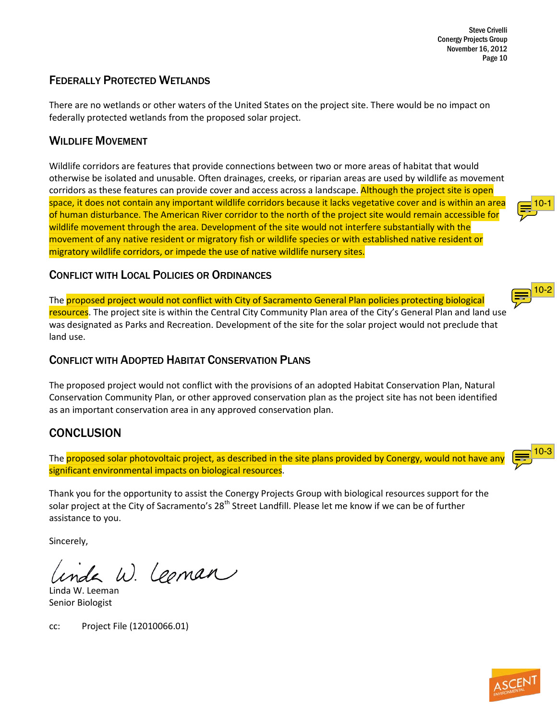Steve Crivelli Conergy Projects Group November 16, 2012 Page 10

### FEDERALLY PROTECTED WETLANDS

There are no wetlands or other waters of the United States on the project site. There would be no impact on federally protected wetlands from the proposed solar project.

### WILDLIFE MOVEMENT

Wildlife corridors are features that provide connections between two or more areas of habitat that would otherwise be isolated and unusable. Often drainages, creeks, or riparian areas are used by wildlife as movement corridors as these features can provide cover and access across a landscape. Although the project site is open space, it does not contain any important wildlife corridors because it lacks vegetative cover and is within an area of human disturbance. The American River corridor to the north of the project site would remain accessible for wildlife movement through the area. Development of the site would not interfere substantially with the movement of any native resident or migratory fish or wildlife species or with established native resident or migratory wildlife corridors, or impede the use of native wildlife nursery sites.

#### CONFLICT WITH LOCAL POLICIES OR ORDINANCES

The proposed project would not conflict with City of Sacramento General Plan policies protecting biological resources. The project site is within the Central City Community Plan area of the City's General Plan and land use was designated as Parks and Recreation. Development of the site for the solar project would not preclude that land use.

#### CONFLICT WITH ADOPTED HABITAT CONSERVATION PLANS

The proposed project would not conflict with the provisions of an adopted Habitat Conservation Plan, Natural Conservation Community Plan, or other approved conservation plan as the project site has not been identified as an important conservation area in any approved conservation plan.

### **CONCLUSION**

The proposed solar photovoltaic project, as described in the site plans provided by Conergy, would not have any significant environmental impacts on biological resources.

Thank you for the opportunity to assist the Conergy Projects Group with biological resources support for the solar project at the City of Sacramento's 28<sup>th</sup> Street Landfill. Please let me know if we can be of further assistance to you.

Sincerely,

Le W. Leoman

Linda W. Leeman Senior Biologist

cc: Project File (12010066.01)



<span id="page-9-0"></span>

<span id="page-9-1"></span>

<span id="page-9-2"></span>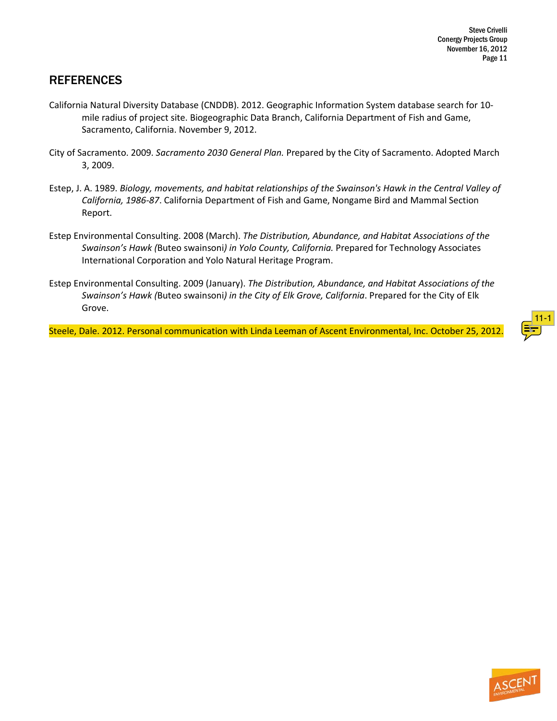## **REFERENCES**

- California Natural Diversity Database (CNDDB). 2012. Geographic Information System database search for 10 mile radius of project site. Biogeographic Data Branch, California Department of Fish and Game, Sacramento, California. November 9, 2012.
- City of Sacramento. 2009. *Sacramento 2030 General Plan.* Prepared by the City of Sacramento. Adopted March 3, 2009.
- Estep, J. A. 1989. *Biology, movements, and habitat relationships of the Swainson's Hawk in the Central Valley of California, 1986-87*. California Department of Fish and Game, Nongame Bird and Mammal Section Report.
- Estep Environmental Consulting. 2008 (March). *The Distribution, Abundance, and Habitat Associations of the Swainson's Hawk (*Buteo swainsoni*) in Yolo County, California.* Prepared for Technology Associates International Corporation and Yolo Natural Heritage Program.
- Estep Environmental Consulting. 2009 (January). *The Distribution, Abundance, and Habitat Associations of the Swainson's Hawk (*Buteo swainsoni*) in the City of Elk Grove, California*. Prepared for the City of Elk Grove.

Steele, Dale. 2012. Personal communication with Linda Leeman of Ascent Environmental, Inc. October 25, 2012.

<span id="page-10-0"></span>

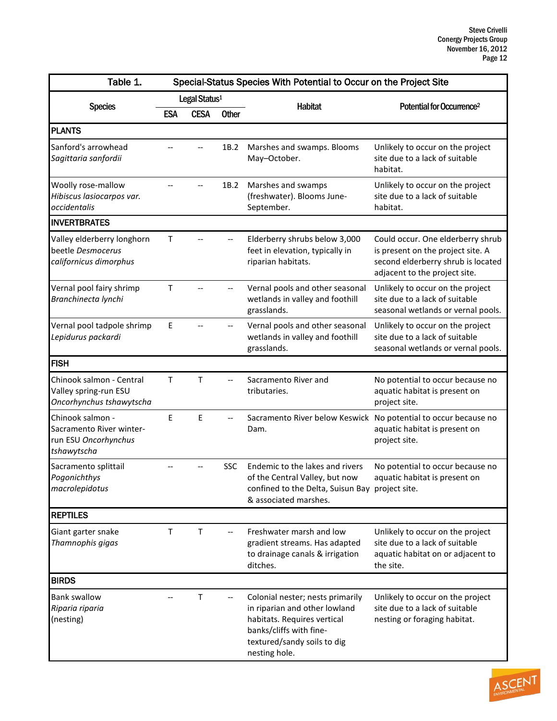| Table 1.                                                                            |     |                           |              | Special-Status Species With Potential to Occur on the Project Site                                                                                                          |                                                                                                                                               |
|-------------------------------------------------------------------------------------|-----|---------------------------|--------------|-----------------------------------------------------------------------------------------------------------------------------------------------------------------------------|-----------------------------------------------------------------------------------------------------------------------------------------------|
|                                                                                     |     | Legal Status <sup>1</sup> |              | <b>Habitat</b>                                                                                                                                                              | Potential for Occurrence <sup>2</sup>                                                                                                         |
| <b>Species</b>                                                                      | ESA | <b>CESA</b>               | <b>Other</b> |                                                                                                                                                                             |                                                                                                                                               |
| <b>PLANTS</b>                                                                       |     |                           |              |                                                                                                                                                                             |                                                                                                                                               |
| Sanford's arrowhead<br>Sagittaria sanfordii                                         |     |                           | 1B.2         | Marshes and swamps. Blooms<br>May-October.                                                                                                                                  | Unlikely to occur on the project<br>site due to a lack of suitable<br>habitat.                                                                |
| Woolly rose-mallow<br>Hibiscus lasiocarpos var.<br>occidentalis                     |     |                           | 1B.2         | Marshes and swamps<br>(freshwater). Blooms June-<br>September.                                                                                                              | Unlikely to occur on the project<br>site due to a lack of suitable<br>habitat.                                                                |
| <b>INVERTBRATES</b>                                                                 |     |                           |              |                                                                                                                                                                             |                                                                                                                                               |
| Valley elderberry longhorn<br>beetle Desmocerus<br>californicus dimorphus           | Τ   |                           |              | Elderberry shrubs below 3,000<br>feet in elevation, typically in<br>riparian habitats.                                                                                      | Could occur. One elderberry shrub<br>is present on the project site. A<br>second elderberry shrub is located<br>adjacent to the project site. |
| Vernal pool fairy shrimp<br>Branchinecta lynchi                                     | T   |                           |              | Vernal pools and other seasonal<br>wetlands in valley and foothill<br>grasslands.                                                                                           | Unlikely to occur on the project<br>site due to a lack of suitable<br>seasonal wetlands or vernal pools.                                      |
| Vernal pool tadpole shrimp<br>Lepidurus packardi                                    | E   |                           |              | Vernal pools and other seasonal<br>wetlands in valley and foothill<br>grasslands.                                                                                           | Unlikely to occur on the project<br>site due to a lack of suitable<br>seasonal wetlands or vernal pools.                                      |
| <b>FISH</b>                                                                         |     |                           |              |                                                                                                                                                                             |                                                                                                                                               |
| Chinook salmon - Central<br>Valley spring-run ESU<br>Oncorhynchus tshawytscha       | T   | $\mathsf{T}$              |              | Sacramento River and<br>tributaries.                                                                                                                                        | No potential to occur because no<br>aquatic habitat is present on<br>project site.                                                            |
| Chinook salmon -<br>Sacramento River winter-<br>run ESU Oncorhynchus<br>tshawytscha | E   | $\mathsf E$               |              | Dam.                                                                                                                                                                        | Sacramento River below Keswick No potential to occur because no<br>aquatic habitat is present on<br>project site.                             |
| Sacramento splittail<br>Pogonichthys<br>macrolepidotus                              |     |                           | <b>SSC</b>   | Endemic to the lakes and rivers<br>of the Central Valley, but now<br>confined to the Delta, Suisun Bay project site.<br>& associated marshes.                               | No potential to occur because no<br>aquatic habitat is present on                                                                             |
| <b>REPTILES</b>                                                                     |     |                           |              |                                                                                                                                                                             |                                                                                                                                               |
| Giant garter snake<br>Thamnophis gigas                                              | T   | T                         |              | Freshwater marsh and low<br>gradient streams. Has adapted<br>to drainage canals & irrigation<br>ditches.                                                                    | Unlikely to occur on the project<br>site due to a lack of suitable<br>aquatic habitat on or adjacent to<br>the site.                          |
| <b>BIRDS</b>                                                                        |     |                           |              |                                                                                                                                                                             |                                                                                                                                               |
| <b>Bank swallow</b><br>Riparia riparia<br>(nesting)                                 |     | $\mathsf T$               |              | Colonial nester; nests primarily<br>in riparian and other lowland<br>habitats. Requires vertical<br>banks/cliffs with fine-<br>textured/sandy soils to dig<br>nesting hole. | Unlikely to occur on the project<br>site due to a lack of suitable<br>nesting or foraging habitat.                                            |

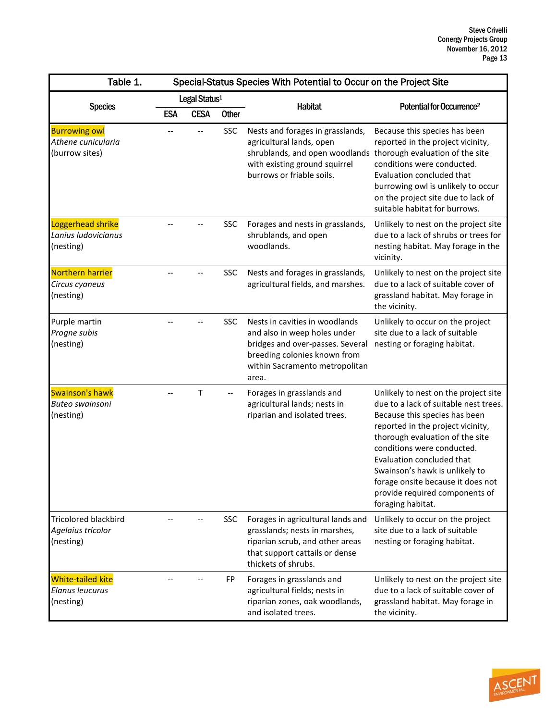| Table 1.                                                      | Special-Status Species With Potential to Occur on the Project Site |             |              |                                                                                                                                                                                              |                                                                                                                                                                                                                                                                                                                                                                                 |
|---------------------------------------------------------------|--------------------------------------------------------------------|-------------|--------------|----------------------------------------------------------------------------------------------------------------------------------------------------------------------------------------------|---------------------------------------------------------------------------------------------------------------------------------------------------------------------------------------------------------------------------------------------------------------------------------------------------------------------------------------------------------------------------------|
| <b>Species</b>                                                | Legal Status <sup>1</sup>                                          |             |              |                                                                                                                                                                                              |                                                                                                                                                                                                                                                                                                                                                                                 |
|                                                               | <b>ESA</b>                                                         | <b>CESA</b> | <b>Other</b> | Habitat                                                                                                                                                                                      | Potential for Occurrence <sup>2</sup>                                                                                                                                                                                                                                                                                                                                           |
| <b>Burrowing owl</b><br>Athene cunicularia<br>(burrow sites)  |                                                                    |             | <b>SSC</b>   | Nests and forages in grasslands,<br>agricultural lands, open<br>shrublands, and open woodlands thorough evaluation of the site<br>with existing ground squirrel<br>burrows or friable soils. | Because this species has been<br>reported in the project vicinity,<br>conditions were conducted.<br>Evaluation concluded that<br>burrowing owl is unlikely to occur<br>on the project site due to lack of<br>suitable habitat for burrows.                                                                                                                                      |
| Loggerhead shrike<br>Lanius ludovicianus<br>(nesting)         |                                                                    |             | <b>SSC</b>   | Forages and nests in grasslands,<br>shrublands, and open<br>woodlands.                                                                                                                       | Unlikely to nest on the project site<br>due to a lack of shrubs or trees for<br>nesting habitat. May forage in the<br>vicinity.                                                                                                                                                                                                                                                 |
| Northern harrier<br>Circus cyaneus<br>(nesting)               |                                                                    |             | SSC          | Nests and forages in grasslands,<br>agricultural fields, and marshes.                                                                                                                        | Unlikely to nest on the project site<br>due to a lack of suitable cover of<br>grassland habitat. May forage in<br>the vicinity.                                                                                                                                                                                                                                                 |
| Purple martin<br>Progne subis<br>(nesting)                    |                                                                    |             | <b>SSC</b>   | Nests in cavities in woodlands<br>and also in weep holes under<br>bridges and over-passes. Several<br>breeding colonies known from<br>within Sacramento metropolitan<br>area.                | Unlikely to occur on the project<br>site due to a lack of suitable<br>nesting or foraging habitat.                                                                                                                                                                                                                                                                              |
| Swainson's hawk<br>Buteo swainsoni<br>(nesting)               |                                                                    | т           |              | Forages in grasslands and<br>agricultural lands; nests in<br>riparian and isolated trees.                                                                                                    | Unlikely to nest on the project site<br>due to a lack of suitable nest trees.<br>Because this species has been<br>reported in the project vicinity,<br>thorough evaluation of the site<br>conditions were conducted.<br>Evaluation concluded that<br>Swainson's hawk is unlikely to<br>forage onsite because it does not<br>provide required components of<br>foraging habitat. |
| <b>Tricolored blackbird</b><br>Agelaius tricolor<br>(nesting) |                                                                    |             | <b>SSC</b>   | Forages in agricultural lands and<br>grasslands; nests in marshes,<br>riparian scrub, and other areas<br>that support cattails or dense<br>thickets of shrubs.                               | Unlikely to occur on the project<br>site due to a lack of suitable<br>nesting or foraging habitat.                                                                                                                                                                                                                                                                              |
| <b>White-tailed kite</b><br>Elanus leucurus<br>(nesting)      |                                                                    |             | FP           | Forages in grasslands and<br>agricultural fields; nests in<br>riparian zones, oak woodlands,<br>and isolated trees.                                                                          | Unlikely to nest on the project site<br>due to a lack of suitable cover of<br>grassland habitat. May forage in<br>the vicinity.                                                                                                                                                                                                                                                 |

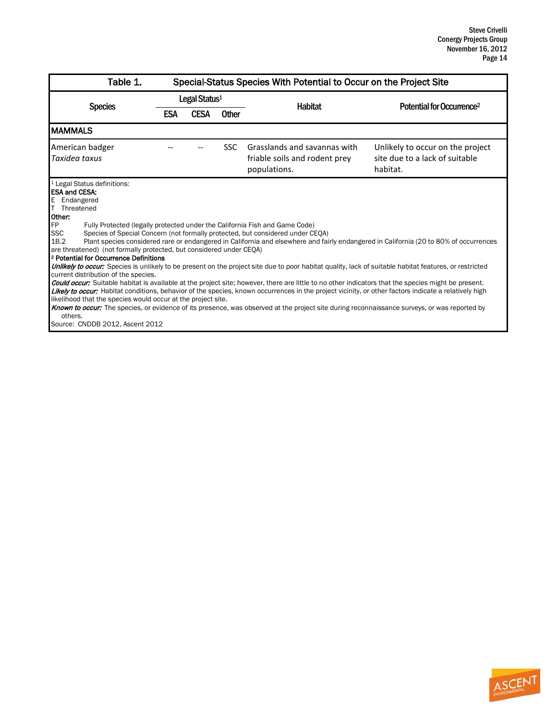| Table 1.                                                                                                                                                                                                                                                                                                                                                                                                                                                                                                                                                                                                                                                                                                                                                                                                                                                                                                                                                                                                                                                                                                                                                                                                                                                                                                                                                            | Special-Status Species With Potential to Occur on the Project Site |             |              |                                                                               |                                                                                |  |  |  |
|---------------------------------------------------------------------------------------------------------------------------------------------------------------------------------------------------------------------------------------------------------------------------------------------------------------------------------------------------------------------------------------------------------------------------------------------------------------------------------------------------------------------------------------------------------------------------------------------------------------------------------------------------------------------------------------------------------------------------------------------------------------------------------------------------------------------------------------------------------------------------------------------------------------------------------------------------------------------------------------------------------------------------------------------------------------------------------------------------------------------------------------------------------------------------------------------------------------------------------------------------------------------------------------------------------------------------------------------------------------------|--------------------------------------------------------------------|-------------|--------------|-------------------------------------------------------------------------------|--------------------------------------------------------------------------------|--|--|--|
| <b>Species</b>                                                                                                                                                                                                                                                                                                                                                                                                                                                                                                                                                                                                                                                                                                                                                                                                                                                                                                                                                                                                                                                                                                                                                                                                                                                                                                                                                      | Legal Status <sup>1</sup>                                          |             |              |                                                                               |                                                                                |  |  |  |
|                                                                                                                                                                                                                                                                                                                                                                                                                                                                                                                                                                                                                                                                                                                                                                                                                                                                                                                                                                                                                                                                                                                                                                                                                                                                                                                                                                     | <b>ESA</b>                                                         | <b>CESA</b> | <b>Other</b> | <b>Habitat</b>                                                                | Potential for Occurrence <sup>2</sup>                                          |  |  |  |
| <b>MAMMALS</b>                                                                                                                                                                                                                                                                                                                                                                                                                                                                                                                                                                                                                                                                                                                                                                                                                                                                                                                                                                                                                                                                                                                                                                                                                                                                                                                                                      |                                                                    |             |              |                                                                               |                                                                                |  |  |  |
| American badger<br>Taxidea taxus                                                                                                                                                                                                                                                                                                                                                                                                                                                                                                                                                                                                                                                                                                                                                                                                                                                                                                                                                                                                                                                                                                                                                                                                                                                                                                                                    |                                                                    |             | <b>SSC</b>   | Grasslands and savannas with<br>friable soils and rodent prey<br>populations. | Unlikely to occur on the project<br>site due to a lack of suitable<br>habitat. |  |  |  |
| <sup>1</sup> Legal Status definitions:<br><b>ESA and CESA:</b><br>E Endangered<br>Τ<br>Threatened<br>Other:<br>FP<br>Fully Protected (legally protected under the California Fish and Game Code)<br><b>SSC</b><br>Species of Special Concern (not formally protected, but considered under CEQA)<br>1B.2<br>Plant species considered rare or endangered in California and elsewhere and fairly endangered in California (20 to 80% of occurrences<br>are threatened) (not formally protected, but considered under CEOA)<br><sup>2</sup> Potential for Occurrence Definitions<br>Unlikely to occur: Species is unlikely to be present on the project site due to poor habitat quality, lack of suitable habitat features, or restricted<br>current distribution of the species.<br><b>Could occur:</b> Suitable habitat is available at the project site; however, there are little to no other indicators that the species might be present.<br>Likely to occur: Habitat conditions, behavior of the species, known occurrences in the project vicinity, or other factors indicate a relatively high<br>likelihood that the species would occur at the project site.<br>Known to occur: The species, or evidence of its presence, was observed at the project site during reconnaissance surveys, or was reported by<br>others.<br>Source: CNDDB 2012, Ascent 2012 |                                                                    |             |              |                                                                               |                                                                                |  |  |  |

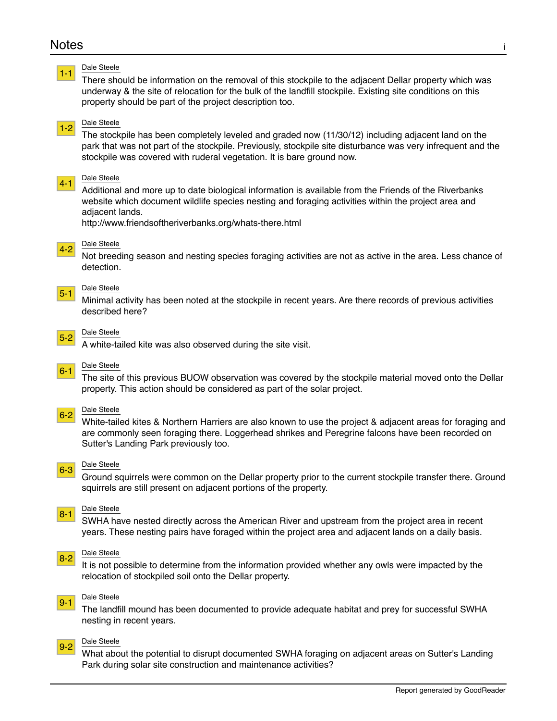## Notes i

<span id="page-14-4"></span><span id="page-14-3"></span><span id="page-14-2"></span><span id="page-14-1"></span><span id="page-14-0"></span>

## <span id="page-14-11"></span><span id="page-14-10"></span><span id="page-14-9"></span><span id="page-14-8"></span><span id="page-14-7"></span><span id="page-14-6"></span><span id="page-14-5"></span>[9-1](#page-8-0) Dale Steele

The landfill mound has been documented to provide adequate habitat and prey for successful SWHA nesting in recent years.

### <span id="page-14-12"></span> $\overline{9-2}$  $\overline{9-2}$  $\overline{9-2}$  Dale Steele

What about the potential to disrupt documented SWHA foraging on adjacent areas on Sutter's Landing Park during solar site construction and maintenance activities?